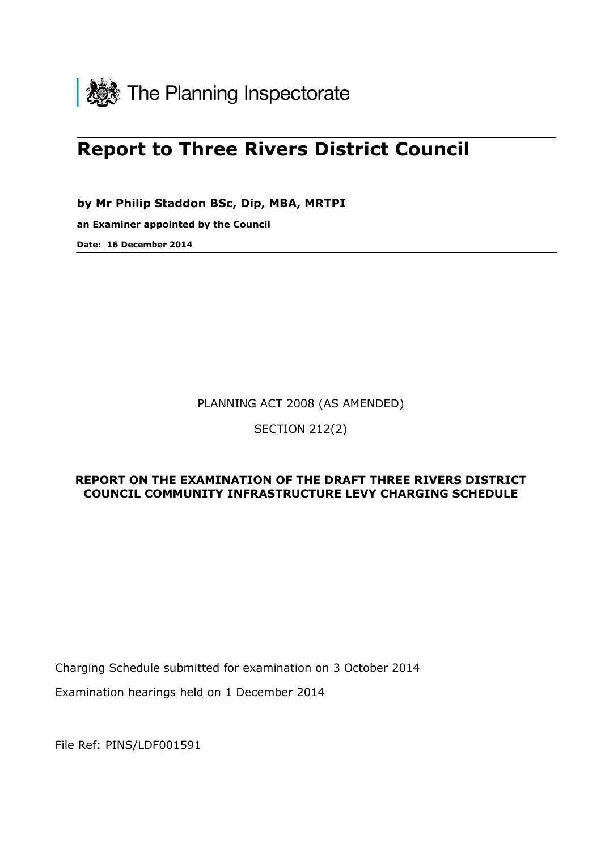

# Report to Three Rivers District Council

by Mr Philip Staddon BSc, Dip, MBA, MRTPI

an Examiner appointed by the Council

Date: 16 December 2014

PLANNING ACT 2008 (AS AMENDED)

SECTION 212(2)

#### REPORT ON THE EXAMINATION OF THE DRAFT THREE RIVERS DISTRICT COUNCIL COMMUNITY INFRASTRUCTURE LEVY CHARGING SCHEDULE

Charging Schedule submitted for examination on 3 October 2014

Examination hearings held on 1 December 2014

File Ref: PINS/LDF001591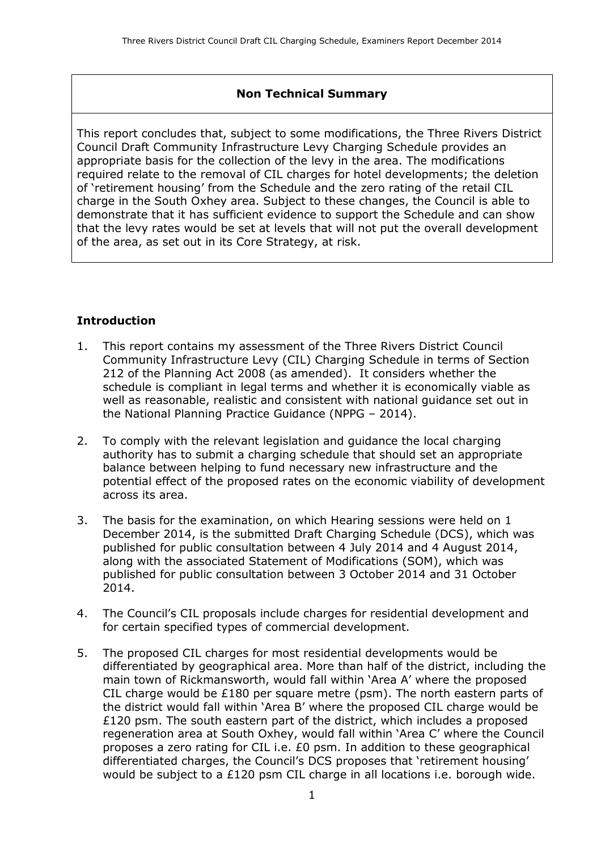#### Non Technical Summary

This report concludes that, subject to some modifications, the Three Rivers District Council Draft Community Infrastructure Levy Charging Schedule provides an appropriate basis for the collection of the levy in the area. The modifications required relate to the removal of CIL charges for hotel developments; the deletion of 'retirement housing' from the Schedule and the zero rating of the retail CIL charge in the South Oxhey area. Subject to these changes, the Council is able to demonstrate that it has sufficient evidence to support the Schedule and can show that the levy rates would be set at levels that will not put the overall development of the area, as set out in its Core Strategy, at risk.

#### **Introduction**

- 1. This report contains my assessment of the Three Rivers District Council Community Infrastructure Levy (CIL) Charging Schedule in terms of Section 212 of the Planning Act 2008 (as amended). It considers whether the schedule is compliant in legal terms and whether it is economically viable as well as reasonable, realistic and consistent with national guidance set out in the National Planning Practice Guidance (NPPG – 2014).
- 2. To comply with the relevant legislation and guidance the local charging authority has to submit a charging schedule that should set an appropriate balance between helping to fund necessary new infrastructure and the potential effect of the proposed rates on the economic viability of development across its area.
- 3. The basis for the examination, on which Hearing sessions were held on 1 December 2014, is the submitted Draft Charging Schedule (DCS), which was published for public consultation between 4 July 2014 and 4 August 2014, along with the associated Statement of Modifications (SOM), which was published for public consultation between 3 October 2014 and 31 October 2014.
- 4. The Council's CIL proposals include charges for residential development and for certain specified types of commercial development.
- 5. The proposed CIL charges for most residential developments would be differentiated by geographical area. More than half of the district, including the main town of Rickmansworth, would fall within 'Area A' where the proposed CIL charge would be £180 per square metre (psm). The north eastern parts of the district would fall within 'Area B' where the proposed CIL charge would be £120 psm. The south eastern part of the district, which includes a proposed regeneration area at South Oxhey, would fall within 'Area C' where the Council proposes a zero rating for CIL i.e. £0 psm. In addition to these geographical differentiated charges, the Council's DCS proposes that 'retirement housing' would be subject to a £120 psm CIL charge in all locations i.e. borough wide.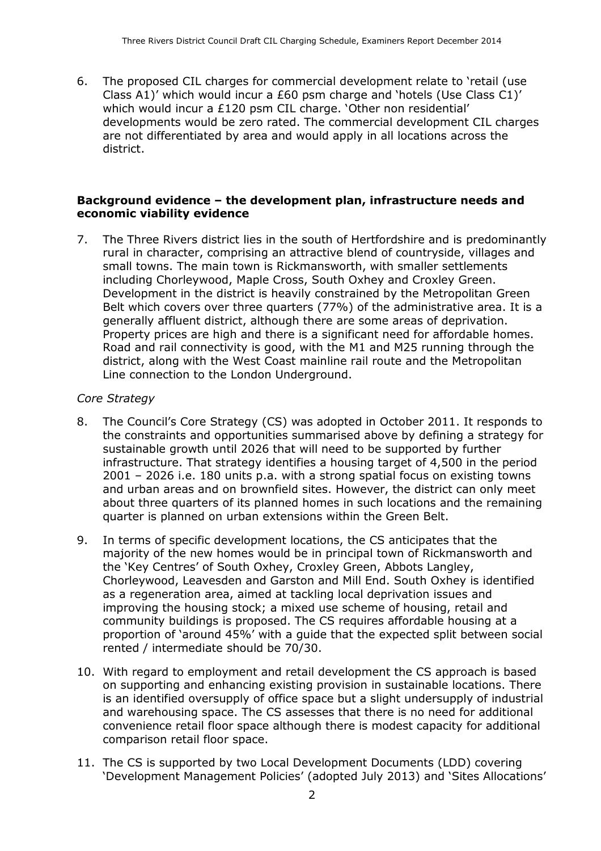6. The proposed CIL charges for commercial development relate to 'retail (use Class A1)' which would incur a £60 psm charge and 'hotels (Use Class C1)' which would incur a £120 psm CIL charge. 'Other non residential' developments would be zero rated. The commercial development CIL charges are not differentiated by area and would apply in all locations across the district.

#### Background evidence – the development plan, infrastructure needs and economic viability evidence

7. The Three Rivers district lies in the south of Hertfordshire and is predominantly rural in character, comprising an attractive blend of countryside, villages and small towns. The main town is Rickmansworth, with smaller settlements including Chorleywood, Maple Cross, South Oxhey and Croxley Green. Development in the district is heavily constrained by the Metropolitan Green Belt which covers over three quarters (77%) of the administrative area. It is a generally affluent district, although there are some areas of deprivation. Property prices are high and there is a significant need for affordable homes. Road and rail connectivity is good, with the M1 and M25 running through the district, along with the West Coast mainline rail route and the Metropolitan Line connection to the London Underground.

#### Core Strategy

- 8. The Council's Core Strategy (CS) was adopted in October 2011. It responds to the constraints and opportunities summarised above by defining a strategy for sustainable growth until 2026 that will need to be supported by further infrastructure. That strategy identifies a housing target of 4,500 in the period 2001 – 2026 i.e. 180 units p.a. with a strong spatial focus on existing towns and urban areas and on brownfield sites. However, the district can only meet about three quarters of its planned homes in such locations and the remaining quarter is planned on urban extensions within the Green Belt.
- 9. In terms of specific development locations, the CS anticipates that the majority of the new homes would be in principal town of Rickmansworth and the 'Key Centres' of South Oxhey, Croxley Green, Abbots Langley, Chorleywood, Leavesden and Garston and Mill End. South Oxhey is identified as a regeneration area, aimed at tackling local deprivation issues and improving the housing stock; a mixed use scheme of housing, retail and community buildings is proposed. The CS requires affordable housing at a proportion of 'around 45%' with a guide that the expected split between social rented / intermediate should be 70/30.
- 10. With regard to employment and retail development the CS approach is based on supporting and enhancing existing provision in sustainable locations. There is an identified oversupply of office space but a slight undersupply of industrial and warehousing space. The CS assesses that there is no need for additional convenience retail floor space although there is modest capacity for additional comparison retail floor space.
- 11. The CS is supported by two Local Development Documents (LDD) covering 'Development Management Policies' (adopted July 2013) and 'Sites Allocations'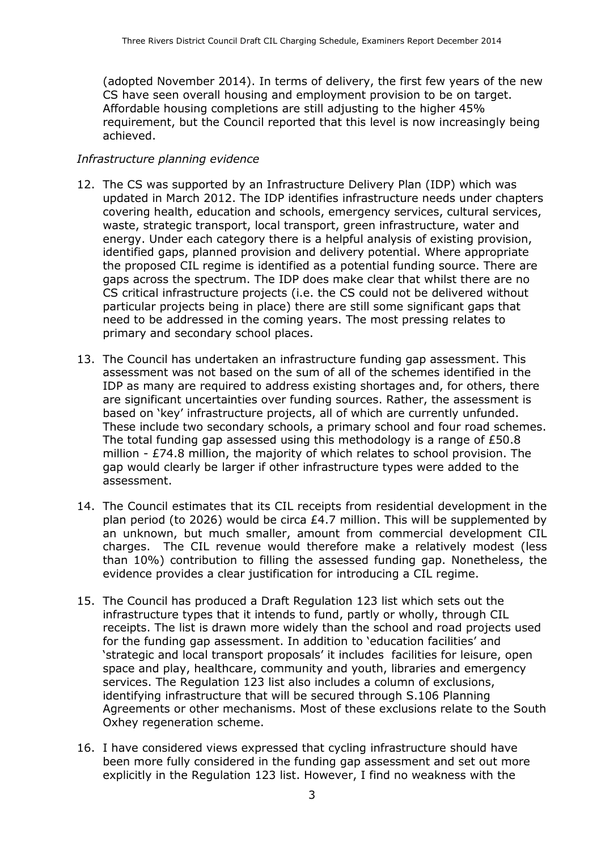(adopted November 2014). In terms of delivery, the first few years of the new CS have seen overall housing and employment provision to be on target. Affordable housing completions are still adjusting to the higher 45% requirement, but the Council reported that this level is now increasingly being achieved.

#### Infrastructure planning evidence

- 12. The CS was supported by an Infrastructure Delivery Plan (IDP) which was updated in March 2012. The IDP identifies infrastructure needs under chapters covering health, education and schools, emergency services, cultural services, waste, strategic transport, local transport, green infrastructure, water and energy. Under each category there is a helpful analysis of existing provision, identified gaps, planned provision and delivery potential. Where appropriate the proposed CIL regime is identified as a potential funding source. There are gaps across the spectrum. The IDP does make clear that whilst there are no CS critical infrastructure projects (i.e. the CS could not be delivered without particular projects being in place) there are still some significant gaps that need to be addressed in the coming years. The most pressing relates to primary and secondary school places.
- 13. The Council has undertaken an infrastructure funding gap assessment. This assessment was not based on the sum of all of the schemes identified in the IDP as many are required to address existing shortages and, for others, there are significant uncertainties over funding sources. Rather, the assessment is based on 'key' infrastructure projects, all of which are currently unfunded. These include two secondary schools, a primary school and four road schemes. The total funding gap assessed using this methodology is a range of  $E$ 50.8 million - £74.8 million, the majority of which relates to school provision. The gap would clearly be larger if other infrastructure types were added to the assessment.
- 14. The Council estimates that its CIL receipts from residential development in the plan period (to 2026) would be circa £4.7 million. This will be supplemented by an unknown, but much smaller, amount from commercial development CIL charges. The CIL revenue would therefore make a relatively modest (less than 10%) contribution to filling the assessed funding gap. Nonetheless, the evidence provides a clear justification for introducing a CIL regime.
- 15. The Council has produced a Draft Regulation 123 list which sets out the infrastructure types that it intends to fund, partly or wholly, through CIL receipts. The list is drawn more widely than the school and road projects used for the funding gap assessment. In addition to 'education facilities' and 'strategic and local transport proposals' it includes facilities for leisure, open space and play, healthcare, community and youth, libraries and emergency services. The Regulation 123 list also includes a column of exclusions, identifying infrastructure that will be secured through S.106 Planning Agreements or other mechanisms. Most of these exclusions relate to the South Oxhey regeneration scheme.
- 16. I have considered views expressed that cycling infrastructure should have been more fully considered in the funding gap assessment and set out more explicitly in the Regulation 123 list. However, I find no weakness with the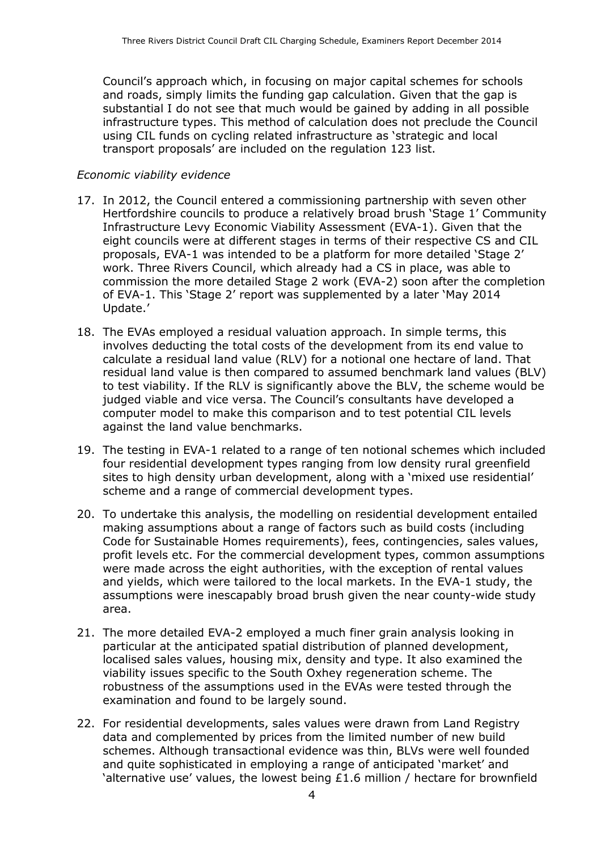Council's approach which, in focusing on major capital schemes for schools and roads, simply limits the funding gap calculation. Given that the gap is substantial I do not see that much would be gained by adding in all possible infrastructure types. This method of calculation does not preclude the Council using CIL funds on cycling related infrastructure as 'strategic and local transport proposals' are included on the regulation 123 list.

#### Economic viability evidence

- 17. In 2012, the Council entered a commissioning partnership with seven other Hertfordshire councils to produce a relatively broad brush 'Stage 1' Community Infrastructure Levy Economic Viability Assessment (EVA-1). Given that the eight councils were at different stages in terms of their respective CS and CIL proposals, EVA-1 was intended to be a platform for more detailed 'Stage 2' work. Three Rivers Council, which already had a CS in place, was able to commission the more detailed Stage 2 work (EVA-2) soon after the completion of EVA-1. This 'Stage 2' report was supplemented by a later 'May 2014 Update.'
- 18. The EVAs employed a residual valuation approach. In simple terms, this involves deducting the total costs of the development from its end value to calculate a residual land value (RLV) for a notional one hectare of land. That residual land value is then compared to assumed benchmark land values (BLV) to test viability. If the RLV is significantly above the BLV, the scheme would be judged viable and vice versa. The Council's consultants have developed a computer model to make this comparison and to test potential CIL levels against the land value benchmarks.
- 19. The testing in EVA-1 related to a range of ten notional schemes which included four residential development types ranging from low density rural greenfield sites to high density urban development, along with a 'mixed use residential' scheme and a range of commercial development types.
- 20. To undertake this analysis, the modelling on residential development entailed making assumptions about a range of factors such as build costs (including Code for Sustainable Homes requirements), fees, contingencies, sales values, profit levels etc. For the commercial development types, common assumptions were made across the eight authorities, with the exception of rental values and yields, which were tailored to the local markets. In the EVA-1 study, the assumptions were inescapably broad brush given the near county-wide study area.
- 21. The more detailed EVA-2 employed a much finer grain analysis looking in particular at the anticipated spatial distribution of planned development, localised sales values, housing mix, density and type. It also examined the viability issues specific to the South Oxhey regeneration scheme. The robustness of the assumptions used in the EVAs were tested through the examination and found to be largely sound.
- 22. For residential developments, sales values were drawn from Land Registry data and complemented by prices from the limited number of new build schemes. Although transactional evidence was thin, BLVs were well founded and quite sophisticated in employing a range of anticipated 'market' and 'alternative use' values, the lowest being £1.6 million / hectare for brownfield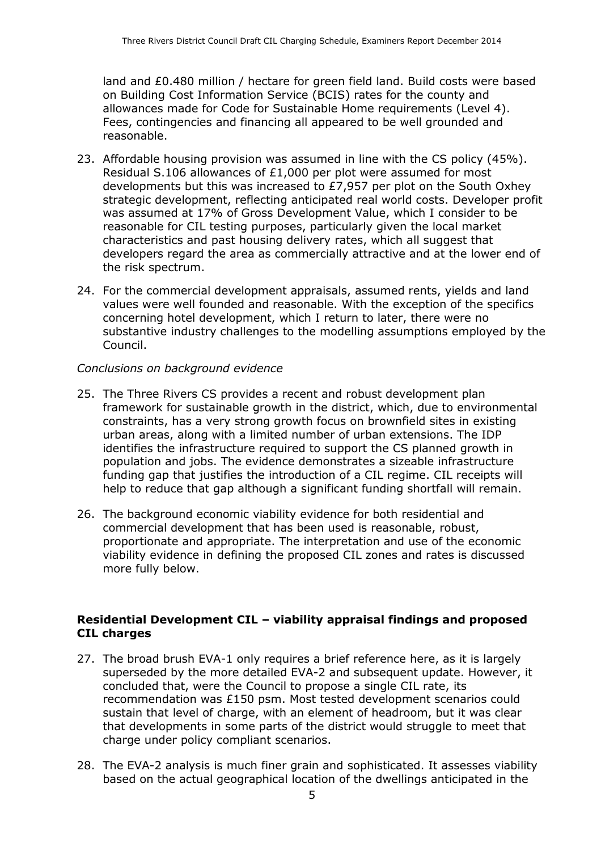land and £0.480 million / hectare for green field land. Build costs were based on Building Cost Information Service (BCIS) rates for the county and allowances made for Code for Sustainable Home requirements (Level 4). Fees, contingencies and financing all appeared to be well grounded and reasonable.

- 23. Affordable housing provision was assumed in line with the CS policy (45%). Residual S.106 allowances of £1,000 per plot were assumed for most developments but this was increased to £7,957 per plot on the South Oxhey strategic development, reflecting anticipated real world costs. Developer profit was assumed at 17% of Gross Development Value, which I consider to be reasonable for CIL testing purposes, particularly given the local market characteristics and past housing delivery rates, which all suggest that developers regard the area as commercially attractive and at the lower end of the risk spectrum.
- 24. For the commercial development appraisals, assumed rents, yields and land values were well founded and reasonable. With the exception of the specifics concerning hotel development, which I return to later, there were no substantive industry challenges to the modelling assumptions employed by the Council.

#### Conclusions on background evidence

- 25. The Three Rivers CS provides a recent and robust development plan framework for sustainable growth in the district, which, due to environmental constraints, has a very strong growth focus on brownfield sites in existing urban areas, along with a limited number of urban extensions. The IDP identifies the infrastructure required to support the CS planned growth in population and jobs. The evidence demonstrates a sizeable infrastructure funding gap that justifies the introduction of a CIL regime. CIL receipts will help to reduce that gap although a significant funding shortfall will remain.
- 26. The background economic viability evidence for both residential and commercial development that has been used is reasonable, robust, proportionate and appropriate. The interpretation and use of the economic viability evidence in defining the proposed CIL zones and rates is discussed more fully below.

#### Residential Development CIL – viability appraisal findings and proposed CIL charges

- 27. The broad brush EVA-1 only requires a brief reference here, as it is largely superseded by the more detailed EVA-2 and subsequent update. However, it concluded that, were the Council to propose a single CIL rate, its recommendation was £150 psm. Most tested development scenarios could sustain that level of charge, with an element of headroom, but it was clear that developments in some parts of the district would struggle to meet that charge under policy compliant scenarios.
- 28. The EVA-2 analysis is much finer grain and sophisticated. It assesses viability based on the actual geographical location of the dwellings anticipated in the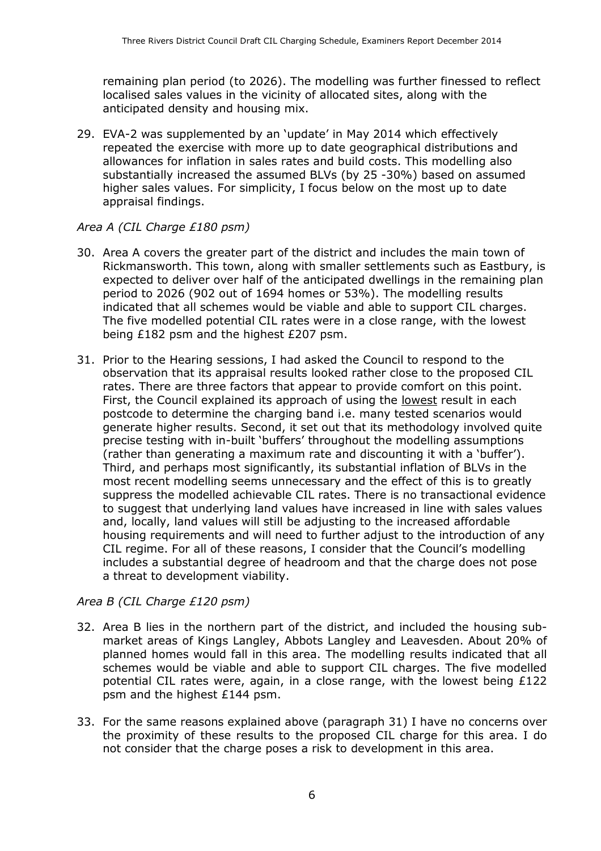remaining plan period (to 2026). The modelling was further finessed to reflect localised sales values in the vicinity of allocated sites, along with the anticipated density and housing mix.

29. EVA-2 was supplemented by an 'update' in May 2014 which effectively repeated the exercise with more up to date geographical distributions and allowances for inflation in sales rates and build costs. This modelling also substantially increased the assumed BLVs (by 25 -30%) based on assumed higher sales values. For simplicity, I focus below on the most up to date appraisal findings.

#### Area A (CIL Charge £180 psm)

- 30. Area A covers the greater part of the district and includes the main town of Rickmansworth. This town, along with smaller settlements such as Eastbury, is expected to deliver over half of the anticipated dwellings in the remaining plan period to 2026 (902 out of 1694 homes or 53%). The modelling results indicated that all schemes would be viable and able to support CIL charges. The five modelled potential CIL rates were in a close range, with the lowest being £182 psm and the highest £207 psm.
- 31. Prior to the Hearing sessions, I had asked the Council to respond to the observation that its appraisal results looked rather close to the proposed CIL rates. There are three factors that appear to provide comfort on this point. First, the Council explained its approach of using the lowest result in each postcode to determine the charging band i.e. many tested scenarios would generate higher results. Second, it set out that its methodology involved quite precise testing with in-built 'buffers' throughout the modelling assumptions (rather than generating a maximum rate and discounting it with a 'buffer'). Third, and perhaps most significantly, its substantial inflation of BLVs in the most recent modelling seems unnecessary and the effect of this is to greatly suppress the modelled achievable CIL rates. There is no transactional evidence to suggest that underlying land values have increased in line with sales values and, locally, land values will still be adjusting to the increased affordable housing requirements and will need to further adjust to the introduction of any CIL regime. For all of these reasons, I consider that the Council's modelling includes a substantial degree of headroom and that the charge does not pose a threat to development viability.

#### Area B (CIL Charge £120 psm)

- 32. Area B lies in the northern part of the district, and included the housing submarket areas of Kings Langley, Abbots Langley and Leavesden. About 20% of planned homes would fall in this area. The modelling results indicated that all schemes would be viable and able to support CIL charges. The five modelled potential CIL rates were, again, in a close range, with the lowest being £122 psm and the highest £144 psm.
- 33. For the same reasons explained above (paragraph 31) I have no concerns over the proximity of these results to the proposed CIL charge for this area. I do not consider that the charge poses a risk to development in this area.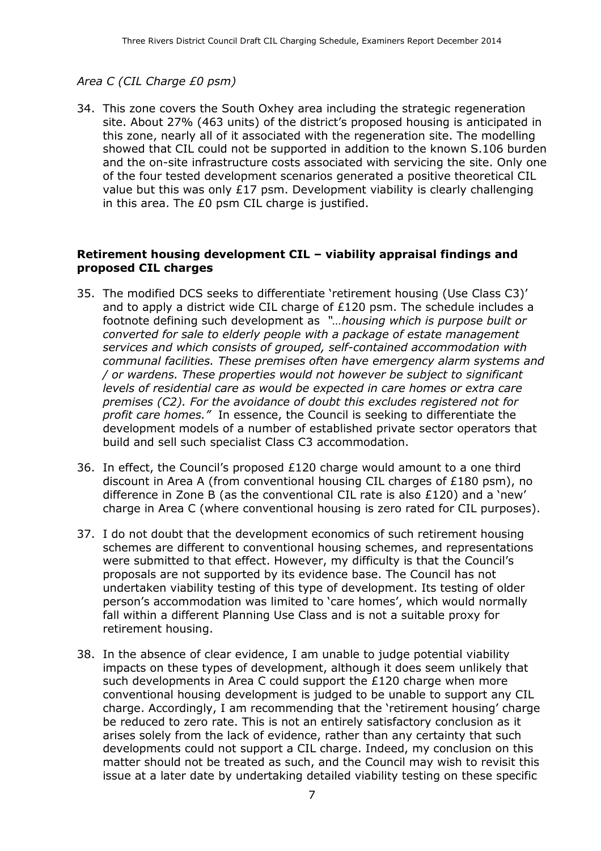#### Area C (CIL Charge £0 psm)

34. This zone covers the South Oxhey area including the strategic regeneration site. About 27% (463 units) of the district's proposed housing is anticipated in this zone, nearly all of it associated with the regeneration site. The modelling showed that CIL could not be supported in addition to the known S.106 burden and the on-site infrastructure costs associated with servicing the site. Only one of the four tested development scenarios generated a positive theoretical CIL value but this was only £17 psm. Development viability is clearly challenging in this area. The £0 psm CIL charge is justified.

#### Retirement housing development CIL – viability appraisal findings and proposed CIL charges

- 35. The modified DCS seeks to differentiate 'retirement housing (Use Class C3)' and to apply a district wide CIL charge of £120 psm. The schedule includes a footnote defining such development as "…housing which is purpose built or converted for sale to elderly people with a package of estate management services and which consists of grouped, self-contained accommodation with communal facilities. These premises often have emergency alarm systems and / or wardens. These properties would not however be subject to significant levels of residential care as would be expected in care homes or extra care premises (C2). For the avoidance of doubt this excludes registered not for profit care homes." In essence, the Council is seeking to differentiate the development models of a number of established private sector operators that build and sell such specialist Class C3 accommodation.
- 36. In effect, the Council's proposed £120 charge would amount to a one third discount in Area A (from conventional housing CIL charges of £180 psm), no difference in Zone B (as the conventional CIL rate is also £120) and a 'new' charge in Area C (where conventional housing is zero rated for CIL purposes).
- 37. I do not doubt that the development economics of such retirement housing schemes are different to conventional housing schemes, and representations were submitted to that effect. However, my difficulty is that the Council's proposals are not supported by its evidence base. The Council has not undertaken viability testing of this type of development. Its testing of older person's accommodation was limited to 'care homes', which would normally fall within a different Planning Use Class and is not a suitable proxy for retirement housing.
- 38. In the absence of clear evidence, I am unable to judge potential viability impacts on these types of development, although it does seem unlikely that such developments in Area C could support the £120 charge when more conventional housing development is judged to be unable to support any CIL charge. Accordingly, I am recommending that the 'retirement housing' charge be reduced to zero rate. This is not an entirely satisfactory conclusion as it arises solely from the lack of evidence, rather than any certainty that such developments could not support a CIL charge. Indeed, my conclusion on this matter should not be treated as such, and the Council may wish to revisit this issue at a later date by undertaking detailed viability testing on these specific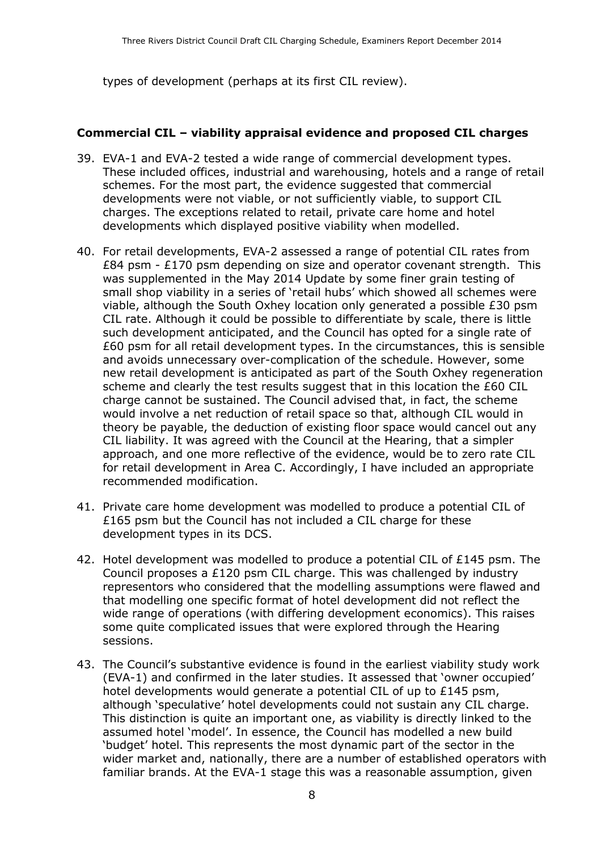types of development (perhaps at its first CIL review).

#### Commercial CIL – viability appraisal evidence and proposed CIL charges

- 39. EVA-1 and EVA-2 tested a wide range of commercial development types. These included offices, industrial and warehousing, hotels and a range of retail schemes. For the most part, the evidence suggested that commercial developments were not viable, or not sufficiently viable, to support CIL charges. The exceptions related to retail, private care home and hotel developments which displayed positive viability when modelled.
- 40. For retail developments, EVA-2 assessed a range of potential CIL rates from £84 psm - £170 psm depending on size and operator covenant strength. This was supplemented in the May 2014 Update by some finer grain testing of small shop viability in a series of 'retail hubs' which showed all schemes were viable, although the South Oxhey location only generated a possible £30 psm CIL rate. Although it could be possible to differentiate by scale, there is little such development anticipated, and the Council has opted for a single rate of £60 psm for all retail development types. In the circumstances, this is sensible and avoids unnecessary over-complication of the schedule. However, some new retail development is anticipated as part of the South Oxhey regeneration scheme and clearly the test results suggest that in this location the £60 CIL charge cannot be sustained. The Council advised that, in fact, the scheme would involve a net reduction of retail space so that, although CIL would in theory be payable, the deduction of existing floor space would cancel out any CIL liability. It was agreed with the Council at the Hearing, that a simpler approach, and one more reflective of the evidence, would be to zero rate CIL for retail development in Area C. Accordingly, I have included an appropriate recommended modification.
- 41. Private care home development was modelled to produce a potential CIL of £165 psm but the Council has not included a CIL charge for these development types in its DCS.
- 42. Hotel development was modelled to produce a potential CIL of £145 psm. The Council proposes a £120 psm CIL charge. This was challenged by industry representors who considered that the modelling assumptions were flawed and that modelling one specific format of hotel development did not reflect the wide range of operations (with differing development economics). This raises some quite complicated issues that were explored through the Hearing sessions.
- 43. The Council's substantive evidence is found in the earliest viability study work (EVA-1) and confirmed in the later studies. It assessed that 'owner occupied' hotel developments would generate a potential CIL of up to £145 psm, although 'speculative' hotel developments could not sustain any CIL charge. This distinction is quite an important one, as viability is directly linked to the assumed hotel 'model'. In essence, the Council has modelled a new build 'budget' hotel. This represents the most dynamic part of the sector in the wider market and, nationally, there are a number of established operators with familiar brands. At the EVA-1 stage this was a reasonable assumption, given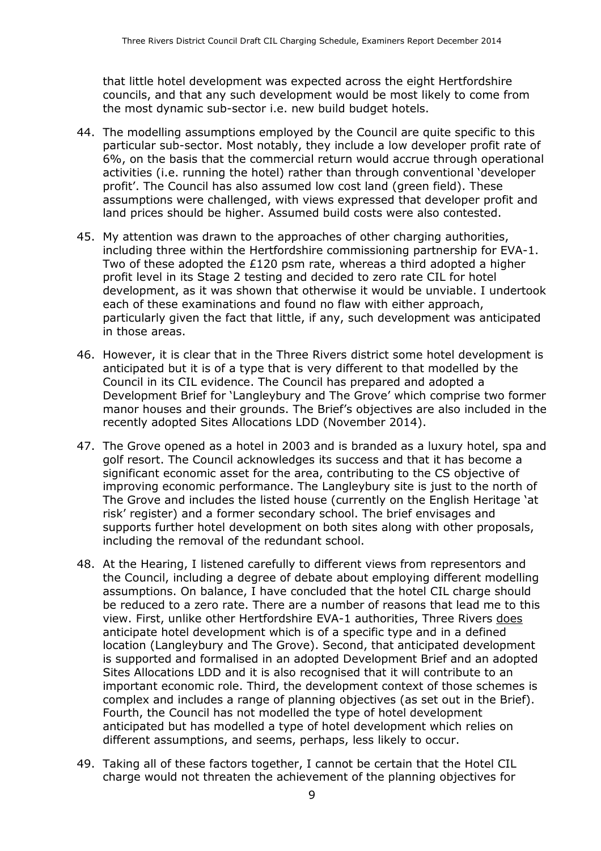that little hotel development was expected across the eight Hertfordshire councils, and that any such development would be most likely to come from the most dynamic sub-sector i.e. new build budget hotels.

- 44. The modelling assumptions employed by the Council are quite specific to this particular sub-sector. Most notably, they include a low developer profit rate of 6%, on the basis that the commercial return would accrue through operational activities (i.e. running the hotel) rather than through conventional 'developer profit'. The Council has also assumed low cost land (green field). These assumptions were challenged, with views expressed that developer profit and land prices should be higher. Assumed build costs were also contested.
- 45. My attention was drawn to the approaches of other charging authorities, including three within the Hertfordshire commissioning partnership for EVA-1. Two of these adopted the £120 psm rate, whereas a third adopted a higher profit level in its Stage 2 testing and decided to zero rate CIL for hotel development, as it was shown that otherwise it would be unviable. I undertook each of these examinations and found no flaw with either approach, particularly given the fact that little, if any, such development was anticipated in those areas.
- 46. However, it is clear that in the Three Rivers district some hotel development is anticipated but it is of a type that is very different to that modelled by the Council in its CIL evidence. The Council has prepared and adopted a Development Brief for 'Langleybury and The Grove' which comprise two former manor houses and their grounds. The Brief's objectives are also included in the recently adopted Sites Allocations LDD (November 2014).
- 47. The Grove opened as a hotel in 2003 and is branded as a luxury hotel, spa and golf resort. The Council acknowledges its success and that it has become a significant economic asset for the area, contributing to the CS objective of improving economic performance. The Langleybury site is just to the north of The Grove and includes the listed house (currently on the English Heritage 'at risk' register) and a former secondary school. The brief envisages and supports further hotel development on both sites along with other proposals, including the removal of the redundant school.
- 48. At the Hearing, I listened carefully to different views from representors and the Council, including a degree of debate about employing different modelling assumptions. On balance, I have concluded that the hotel CIL charge should be reduced to a zero rate. There are a number of reasons that lead me to this view. First, unlike other Hertfordshire EVA-1 authorities, Three Rivers does anticipate hotel development which is of a specific type and in a defined location (Langleybury and The Grove). Second, that anticipated development is supported and formalised in an adopted Development Brief and an adopted Sites Allocations LDD and it is also recognised that it will contribute to an important economic role. Third, the development context of those schemes is complex and includes a range of planning objectives (as set out in the Brief). Fourth, the Council has not modelled the type of hotel development anticipated but has modelled a type of hotel development which relies on different assumptions, and seems, perhaps, less likely to occur.
- 49. Taking all of these factors together, I cannot be certain that the Hotel CIL charge would not threaten the achievement of the planning objectives for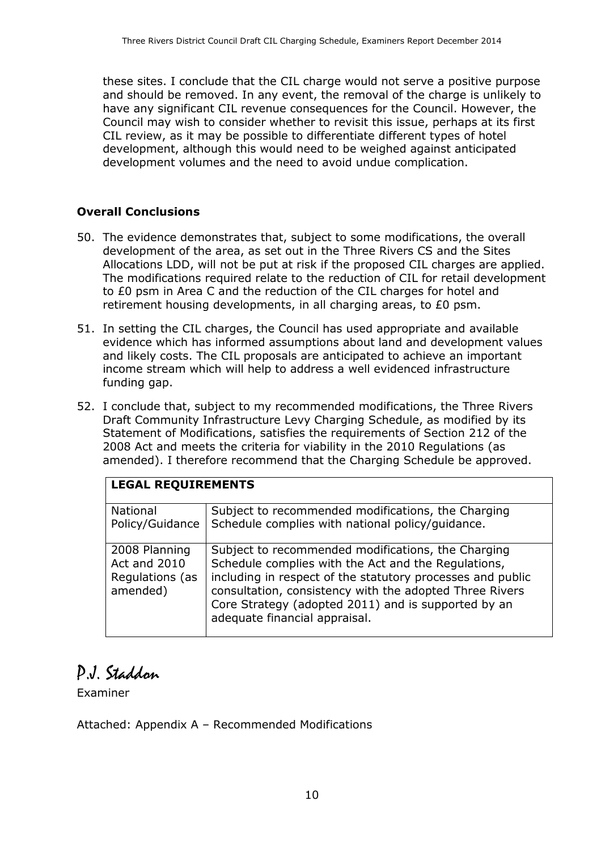these sites. I conclude that the CIL charge would not serve a positive purpose and should be removed. In any event, the removal of the charge is unlikely to have any significant CIL revenue consequences for the Council. However, the Council may wish to consider whether to revisit this issue, perhaps at its first CIL review, as it may be possible to differentiate different types of hotel development, although this would need to be weighed against anticipated development volumes and the need to avoid undue complication.

#### Overall Conclusions

- 50. The evidence demonstrates that, subject to some modifications, the overall development of the area, as set out in the Three Rivers CS and the Sites Allocations LDD, will not be put at risk if the proposed CIL charges are applied. The modifications required relate to the reduction of CIL for retail development to £0 psm in Area C and the reduction of the CIL charges for hotel and retirement housing developments, in all charging areas, to £0 psm.
- 51. In setting the CIL charges, the Council has used appropriate and available evidence which has informed assumptions about land and development values and likely costs. The CIL proposals are anticipated to achieve an important income stream which will help to address a well evidenced infrastructure funding gap.
- 52. I conclude that, subject to my recommended modifications, the Three Rivers Draft Community Infrastructure Levy Charging Schedule, as modified by its Statement of Modifications, satisfies the requirements of Section 212 of the 2008 Act and meets the criteria for viability in the 2010 Regulations (as amended). I therefore recommend that the Charging Schedule be approved.

| <b>LEGAL REQUIREMENTS</b>                                    |                                                                                                                                                                                                                                                                                                                            |  |
|--------------------------------------------------------------|----------------------------------------------------------------------------------------------------------------------------------------------------------------------------------------------------------------------------------------------------------------------------------------------------------------------------|--|
| National<br>Policy/Guidance                                  | Subject to recommended modifications, the Charging<br>Schedule complies with national policy/guidance.                                                                                                                                                                                                                     |  |
| 2008 Planning<br>Act and 2010<br>Regulations (as<br>amended) | Subject to recommended modifications, the Charging<br>Schedule complies with the Act and the Regulations,<br>including in respect of the statutory processes and public<br>consultation, consistency with the adopted Three Rivers<br>Core Strategy (adopted 2011) and is supported by an<br>adequate financial appraisal. |  |

## P.J. Staddon

Examiner

Attached: Appendix A – Recommended Modifications